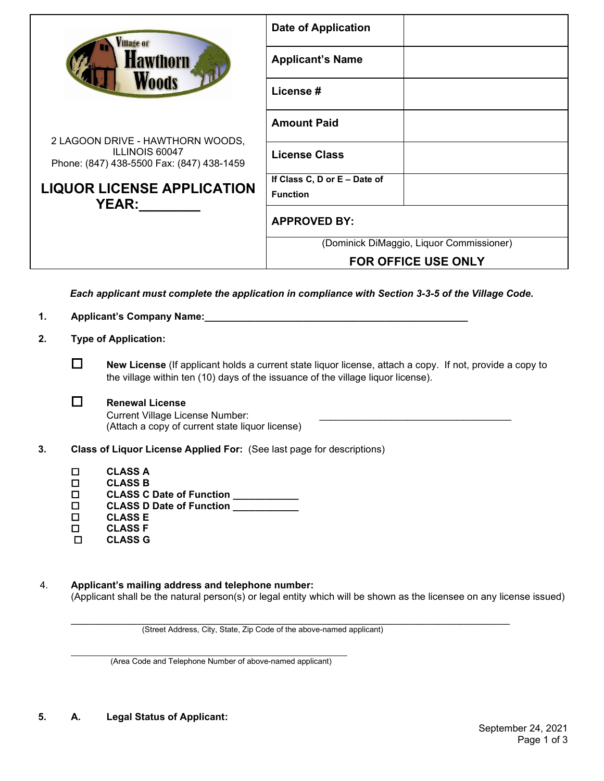| illage of                                                                                              | <b>Date of Application</b>               |  |  |  |  |
|--------------------------------------------------------------------------------------------------------|------------------------------------------|--|--|--|--|
| <b>Hawthorn</b><br>Woods                                                                               | <b>Applicant's Name</b>                  |  |  |  |  |
|                                                                                                        | License #                                |  |  |  |  |
|                                                                                                        | <b>Amount Paid</b>                       |  |  |  |  |
| 2 LAGOON DRIVE - HAWTHORN WOODS,<br><b>ILLINOIS 60047</b><br>Phone: (847) 438-5500 Fax: (847) 438-1459 | <b>License Class</b>                     |  |  |  |  |
|                                                                                                        | If Class C, D or E - Date of             |  |  |  |  |
| <b>LIQUOR LICENSE APPLICATION</b>                                                                      | <b>Function</b>                          |  |  |  |  |
| <b>YEAR:</b>                                                                                           | <b>APPROVED BY:</b>                      |  |  |  |  |
|                                                                                                        | (Dominick DiMaggio, Liquor Commissioner) |  |  |  |  |
|                                                                                                        | <b>FOR OFFICE USE ONLY</b>               |  |  |  |  |
| Each applicant must complete the application in compliance with Section 3-3-5 of the Village Code.     |                                          |  |  |  |  |
| <b>Applicant's Company Name:</b><br>1.                                                                 |                                          |  |  |  |  |
| 2.<br><b>Type of Application:</b>                                                                      |                                          |  |  |  |  |

 **New License** (If applicant holds a current state liquor license, attach a copy. If not, provide a copy to the village within ten (10) days of the issuance of the village liquor license).

## **Renewal License**

Current Village License Number: (Attach a copy of current state liquor license)

- **3. Class of Liquor License Applied For:** (See last page for descriptions)
	- **CLASS A**
	- **CLASS B**
	- **CLASS C Date of Function \_\_\_\_\_\_\_\_\_\_\_\_**
	- **CLASS D Date of Function \_\_\_\_\_\_\_\_\_\_\_\_**
	- **CLASS E**
	- **CLASS F CLASS G**
- 4. **Applicant's mailing address and telephone number:**  (Applicant shall be the natural person(s) or legal entity which will be shown as the licensee on any license issued)

\_\_\_\_\_\_\_\_\_\_\_\_\_\_\_\_\_\_\_\_\_\_\_\_\_\_\_\_\_\_\_\_\_\_\_\_\_\_\_\_\_\_\_\_\_\_\_\_\_\_\_\_\_\_\_\_\_\_\_\_\_\_\_\_\_\_\_\_\_\_\_\_\_\_\_\_\_\_\_\_ (Street Address, City, State, Zip Code of the above-named applicant)

\_\_\_\_\_\_\_\_\_\_\_\_\_\_\_\_\_\_\_\_\_\_\_\_\_\_\_\_\_\_\_\_\_\_\_\_\_\_\_\_\_\_\_\_\_\_\_\_\_\_\_\_\_\_\_\_\_\_\_\_\_\_\_ (Area Code and Telephone Number of above-named applicant)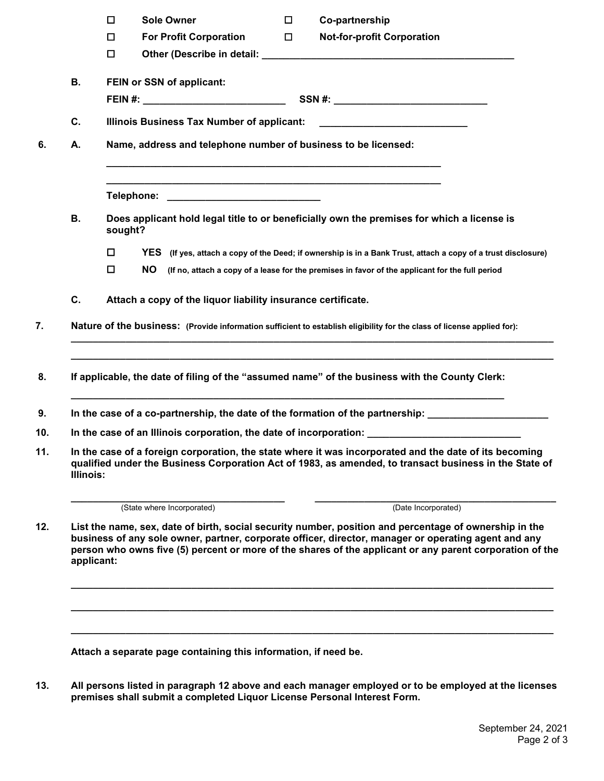|                  | $\Box$                                                                                     | <b>Sole Owner</b>                                            | $\Box$ | Co-partnership                                                                                                                                                                                                                                                                                                             |  |
|------------------|--------------------------------------------------------------------------------------------|--------------------------------------------------------------|--------|----------------------------------------------------------------------------------------------------------------------------------------------------------------------------------------------------------------------------------------------------------------------------------------------------------------------------|--|
|                  | $\Box$<br>$\Box$                                                                           | <b>For Profit Corporation</b>                                | $\Box$ | <b>Not-for-profit Corporation</b>                                                                                                                                                                                                                                                                                          |  |
| В.               | FEIN or SSN of applicant:                                                                  |                                                              |        |                                                                                                                                                                                                                                                                                                                            |  |
|                  |                                                                                            |                                                              |        |                                                                                                                                                                                                                                                                                                                            |  |
| C.               | Illinois Business Tax Number of applicant: _______________________________                 |                                                              |        |                                                                                                                                                                                                                                                                                                                            |  |
| А.               | Name, address and telephone number of business to be licensed:                             |                                                              |        |                                                                                                                                                                                                                                                                                                                            |  |
|                  |                                                                                            |                                                              |        | <u> 1989 - Johann Barbara, marka a shekara ta 1989 - An tsara tsa a shekara tsa a shekara tsa a shekara tsa a sh</u>                                                                                                                                                                                                       |  |
| В.               | Does applicant hold legal title to or beneficially own the premises for which a license is |                                                              |        |                                                                                                                                                                                                                                                                                                                            |  |
|                  | $\Box$                                                                                     |                                                              |        | YES (If yes, attach a copy of the Deed; if ownership is in a Bank Trust, attach a copy of a trust disclosure)                                                                                                                                                                                                              |  |
|                  | $\Box$<br>NO.                                                                              |                                                              |        | (If no, attach a copy of a lease for the premises in favor of the applicant for the full period                                                                                                                                                                                                                            |  |
| C.               |                                                                                            | Attach a copy of the liquor liability insurance certificate. |        |                                                                                                                                                                                                                                                                                                                            |  |
|                  |                                                                                            |                                                              |        | If applicable, the date of filing of the "assumed name" of the business with the County Clerk:                                                                                                                                                                                                                             |  |
|                  |                                                                                            |                                                              |        | In the case of a co-partnership, the date of the formation of the partnership: ____________________                                                                                                                                                                                                                        |  |
|                  |                                                                                            |                                                              |        |                                                                                                                                                                                                                                                                                                                            |  |
|                  |                                                                                            |                                                              |        | In the case of an Illinois corporation, the date of incorporation: _________________________________                                                                                                                                                                                                                       |  |
| <b>Illinois:</b> |                                                                                            |                                                              |        | In the case of a foreign corporation, the state where it was incorporated and the date of its becoming<br>qualified under the Business Corporation Act of 1983, as amended, to transact business in the State of                                                                                                           |  |
|                  |                                                                                            | (State where Incorporated)                                   |        | (Date Incorporated)                                                                                                                                                                                                                                                                                                        |  |
| applicant:       |                                                                                            |                                                              |        | List the name, sex, date of birth, social security number, position and percentage of ownership in the<br>business of any sole owner, partner, corporate officer, director, manager or operating agent and any<br>person who owns five (5) percent or more of the shares of the applicant or any parent corporation of the |  |
|                  |                                                                                            |                                                              |        |                                                                                                                                                                                                                                                                                                                            |  |

**13. All persons listed in paragraph 12 above and each manager employed or to be employed at the licenses** 

**premises shall submit a completed Liquor License Personal Interest Form.**